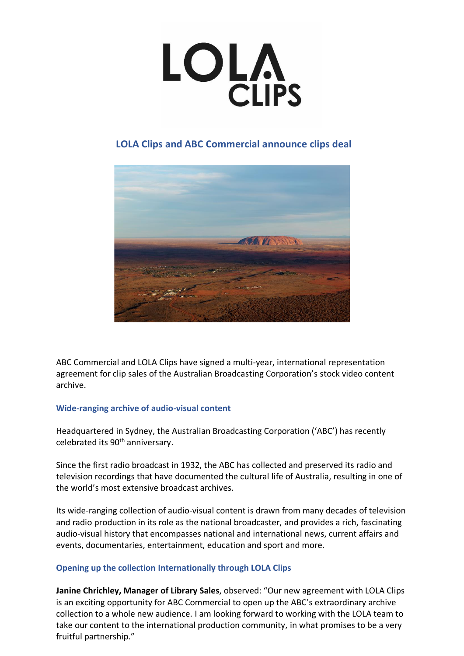# **LOLA**<br>CLIPS

# **LOLA Clips and ABC Commercial announce clips deal**



ABC Commercial and LOLA Clips have signed a multi-year, international representation agreement for clip sales of the Australian Broadcasting Corporation's stock video content archive.

# **Wide-ranging archive of audio-visual content**

Headquartered in Sydney, the Australian Broadcasting Corporation ('ABC') has recently celebrated its 90<sup>th</sup> anniversary.

Since the first radio broadcast in 1932, the ABC has collected and preserved its radio and television recordings that have documented the cultural life of Australia, resulting in one of the world's most extensive broadcast archives.

Its wide-ranging collection of audio-visual content is drawn from many decades of television and radio production in its role as the national broadcaster, and provides a rich, fascinating audio-visual history that encompasses national and international news, current affairs and events, documentaries, entertainment, education and sport and more.

# **Opening up the collection Internationally through LOLA Clips**

**Janine Chrichley, Manager of Library Sales**, observed: "Our new agreement with LOLA Clips is an exciting opportunity for ABC Commercial to open up the ABC's extraordinary archive collection to a whole new audience. I am looking forward to working with the LOLA team to take our content to the international production community, in what promises to be a very fruitful partnership."